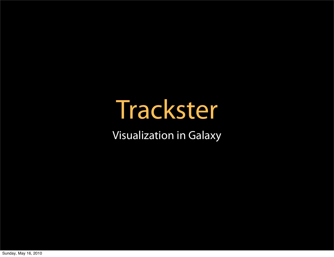### Trackster

Visualization in Galaxy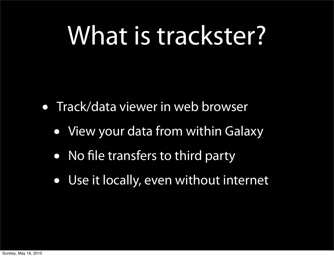### What is trackster?

- Track/data viewer in web browser
	- View your data from within Galaxy
	- No file transfers to third party
	- Use it locally, even without internet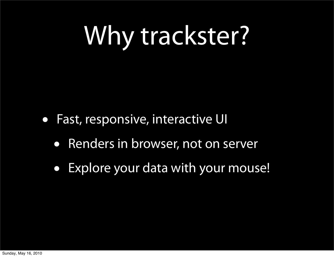## Why trackster?

- Fast, responsive, interactive UI
	- Renders in browser, not on server
	- Explore your data with your mouse!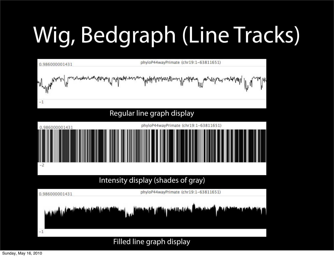### Wig, Bedgraph (Line Tracks)



Filled line graph display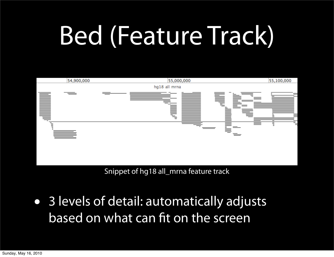## Bed (Feature Track)



Snippet of hg18 all\_mrna feature track

• 3 levels of detail: automatically adjusts based on what can fit on the screen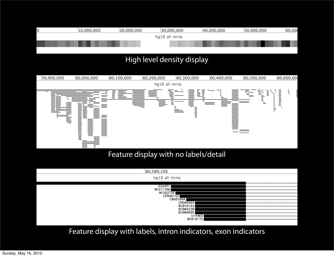

### High level density display



Feature display with labels, intron indicators, exon indicators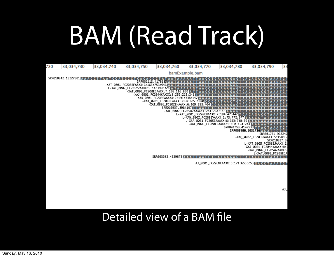## BAM (Read Track)

| 720 | 33,034,730                 | 33,034,740 | 33,034,750                          | 33,034,760                                                                 | 33,034,770                           | 33,034,780                             | 33,034,790                     |                     | 33 |
|-----|----------------------------|------------|-------------------------------------|----------------------------------------------------------------------------|--------------------------------------|----------------------------------------|--------------------------------|---------------------|----|
|     |                            |            |                                     |                                                                            | bamExample.bam                       |                                        |                                |                     |    |
|     | SRR010942.13227301 A A A C |            |                                     |                                                                            |                                      |                                        |                                |                     |    |
|     |                            |            |                                     | SRR001118.4176635W                                                         |                                      |                                        |                                |                     |    |
|     |                            |            | -XAT_0001_FC208BFAAXX:6:165:753:946 |                                                                            |                                      |                                        |                                |                     |    |
|     |                            |            | L-XAF_0002_FC205Y7AAXX:5:14:399:328 |                                                                            |                                      |                                        |                                |                     |    |
|     |                            |            |                                     | -XAT_0005_FC208EJAAXX:7:196:116:860<br>-XAJ_0001_FC2044KAAXX:8:259:225:242 |                                      |                                        |                                |                     |    |
|     |                            |            |                                     | -XAR_0001_FC2056AAAXX:2:191:338:147                                        |                                      |                                        |                                |                     |    |
|     |                            |            |                                     | -XAK_0001_FC208BEAAXX:3:68:635:1080                                        |                                      |                                        |                                |                     |    |
|     |                            |            |                                     | -XAT_0001_FC202EHAAXX:6:109:533:404                                        |                                      |                                        |                                |                     |    |
|     |                            |            |                                     | SRR010937.3964167                                                          |                                      |                                        |                                |                     |    |
|     |                            |            |                                     |                                                                            | -XAE_0002_FC205W7AAXX:1:244:764:145∥ |                                        |                                |                     |    |
|     |                            |            |                                     |                                                                            | L-XAT_0001_FC202EHAAXX:7:184:47:447  |                                        |                                |                     |    |
|     |                            |            |                                     |                                                                            | L-XAN_0002_FC20B2VAAXX:1:73:772:677  |                                        |                                |                     |    |
|     |                            |            |                                     |                                                                            |                                      | L-XAR_0001_FC2056AAAXX:6:283:740:59    |                                |                     |    |
|     |                            |            |                                     |                                                                            |                                      | -XAT_0005_FC208EJAAXX:1:160:174:244    |                                |                     |    |
|     |                            |            |                                     |                                                                            |                                      | SRR001753.4142533                      |                                |                     |    |
|     |                            |            |                                     |                                                                            |                                      | SRR005496.1031736                      |                                |                     |    |
|     |                            |            |                                     |                                                                            |                                      |                                        |                                | SRR001751.978242    |    |
|     |                            |            |                                     |                                                                            |                                      |                                        | -XAQ_0002_FC2039NAAXX:5:158:62 | SRR010937.32        |    |
|     |                            |            |                                     |                                                                            |                                      |                                        | L-XAT_0005_FC208EJAAXX:2:      |                     |    |
|     |                            |            |                                     |                                                                            |                                      |                                        | -XAJ_0001_FC2044KAAXX:8:2      |                     |    |
|     |                            |            |                                     |                                                                            |                                      |                                        | -XAE_0002_FC205W7AAXX:2        |                     |    |
|     |                            |            |                                     |                                                                            |                                      |                                        |                                | L-XAT_0005_FC208EJA |    |
|     |                            |            |                                     | SRR003082.4629672 A                                                        |                                      |                                        |                                |                     |    |
|     |                            |            |                                     |                                                                            |                                      |                                        |                                |                     |    |
|     |                            |            |                                     |                                                                            |                                      | AJ_0001_FC20CMCAAXX:3:171:655:253 GACC |                                |                     |    |
|     |                            |            |                                     |                                                                            |                                      |                                        |                                |                     |    |
|     |                            |            |                                     |                                                                            |                                      |                                        |                                |                     |    |
|     |                            |            |                                     |                                                                            |                                      |                                        |                                |                     |    |
|     |                            |            |                                     |                                                                            |                                      |                                        |                                |                     |    |
|     |                            |            |                                     |                                                                            |                                      |                                        |                                |                     |    |
|     |                            |            |                                     |                                                                            |                                      |                                        |                                |                     |    |

AJ\_

Detailed view of a BAM file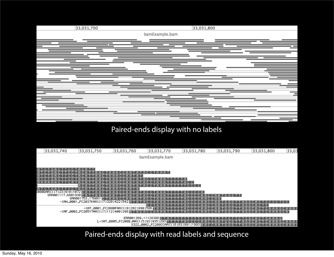

### Paired-ends display with no labels

|    | 33,031,740                  | 33,031,750                             | 33,031,760                                                    | 33,031,770                | 33,031,780                                                | 33,031,790              | 33,031,800                        | 33,03       |
|----|-----------------------------|----------------------------------------|---------------------------------------------------------------|---------------------------|-----------------------------------------------------------|-------------------------|-----------------------------------|-------------|
|    |                             |                                        |                                                               | bamExample.bam            |                                                           |                         |                                   |             |
|    |                             |                                        |                                                               |                           |                                                           |                         |                                   |             |
|    |                             | 'A C A T T I                           |                                                               |                           |                                                           |                         |                                   |             |
|    |                             |                                        |                                                               | AC C T A A A T I          |                                                           |                         |                                   |             |
|    |                             |                                        | LA A C C A A T A T I                                          |                           |                                                           |                         |                                   |             |
|    |                             |                                        |                                                               |                           |                                                           |                         |                                   |             |
|    |                             |                                        |                                                               |                           | AC CII                                                    |                         |                                   |             |
|    |                             |                                        |                                                               |                           | C C C C                                                   |                         |                                   |             |
| Я. |                             | -e                                     | AA C C A A T A I                                              |                           |                                                           |                         |                                   |             |
|    | 208BEAAXX:7:23:910:1072 D A |                                        |                                                               | <b>ACCT</b>               | ACCCCAI                                                   |                         |                                   |             |
|    | SRR001117.6801930 FTR       | 'A A C I                               |                                                               |                           | ACCCCA.                                                   | A C C A A T G G G T T I |                                   |             |
|    |                             | SRR001753.176081 C T A A A C C A A T A |                                                               |                           | ACCCCA                                                    | E A C C N N I           |                                   |             |
|    |                             |                                        | -XAH_0001_FC2037KAAXX:7:328:422:542 RT RT                     | в                         |                                                           | I G G G                 | A G G C A C T C C C C T C C       |             |
|    |                             |                                        |                                                               |                           |                                                           |                         |                                   |             |
|    |                             |                                        | FXATL0001LFC208BFAAXX:8:282:898:586∏∏R∏R∏                     |                           |                                                           |                         |                                   | AA GCA AA F |
|    |                             |                                        | -XAFL0002LFC205Y7AAXX:7:112:400:398 A T A G A C C G A A A T T |                           | A C C C C A                                               | ER C. C.<br>T 6 6 6 1   | AGGCACTCAAAGCA                    |             |
|    |                             |                                        |                                                               |                           |                                                           |                         |                                   |             |
|    |                             |                                        |                                                               | ERR001269.11128388 DETERT |                                                           |                         | C G C A C T G A A A G I           |             |
|    |                             |                                        | L-XATL0005LFC208EJAAXX:5:92:935:293 T T T T T A C C C C A     |                           |                                                           |                         | RGGCACTCAAA                       | GCAAAF      |
|    |                             |                                        |                                                               |                           | S322_0002_FC208CCRRXX:6:83:991:1993 R R C C R R T G G G T |                         | A G G C A C T C A A A G C A A A F |             |

Paired-ends display with read labels and sequence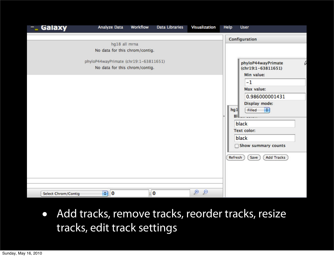| <b>Galaxy</b><br>−_        | <b>Analyze Data</b>                                                     | <b>Workflow</b> | <b>Data Libraries</b> | <b>Visualization</b> | <b>Help</b> | <b>User</b>                                                                                                                                                                    |   |
|----------------------------|-------------------------------------------------------------------------|-----------------|-----------------------|----------------------|-------------|--------------------------------------------------------------------------------------------------------------------------------------------------------------------------------|---|
|                            |                                                                         |                 |                       |                      |             | Configuration                                                                                                                                                                  |   |
|                            | hg18 all mrna<br>No data for this chrom/contig.                         |                 |                       |                      |             |                                                                                                                                                                                |   |
|                            | phyloP44wayPrimate (chr19:1-63811651)<br>No data for this chrom/contig. |                 |                       |                      | hg1<br>в    | phyloP44wayPrimate<br>(chr19:1-63811651)<br>Min value:<br>$-1$<br>Max value:<br>0.986000001431<br><b>Display mode:</b><br><b>Page</b><br>Filled<br>black<br><b>Text color:</b> | ы |
|                            |                                                                         |                 |                       |                      |             | black<br>Show summary counts                                                                                                                                                   |   |
|                            |                                                                         |                 |                       |                      | Refresh     | Save<br><b>Add Tracks</b>                                                                                                                                                      |   |
| <b>Select Chrom/Contig</b> | $\bullet$ 0                                                             |                 | : 0                   | D<br>$\mathcal{L}$   |             |                                                                                                                                                                                |   |

• Add tracks, remove tracks, reorder tracks, resize tracks, edit track settings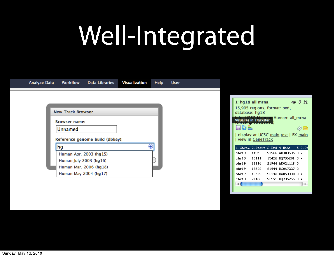## Well-Integrated

| <b>Analyze Data</b> | <b>Workflow</b>          | <b>Data Libraries</b>           | <b>Visualization</b> | <b>Help</b> | <b>User</b> |                |                                                                   |                                          |                |
|---------------------|--------------------------|---------------------------------|----------------------|-------------|-------------|----------------|-------------------------------------------------------------------|------------------------------------------|----------------|
|                     |                          |                                 |                      |             |             |                |                                                                   |                                          |                |
|                     |                          |                                 |                      |             |             |                | $1: hq18$ all mrna                                                |                                          | $\circ$ 0 $\%$ |
|                     | <b>New Track Browser</b> |                                 |                      |             |             |                | 15,905 regions, format: bed,<br>database: hg18                    |                                          |                |
|                     | <b>Browser name:</b>     |                                 |                      |             |             |                | Visualize in Trackster                                            | Human: all_mrna                          |                |
|                     | Unnamed                  |                                 |                      |             |             | eol            |                                                                   |                                          | 0 B            |
|                     |                          | Reference genome build (dbkey): |                      |             |             |                | display at UCSC main test   BX main<br>  view in <u>GeneTrack</u> |                                          |                |
|                     | hg                       |                                 |                      | ⊕           |             |                | 1. Chrom 2. Start 3. End 4. Name 56. St                           |                                          |                |
|                     |                          | Human Apr. 2003 (hg15)          |                      |             |             | chr19          | 11950                                                             | 21966 AK308635 0 -                       |                |
|                     | Human July 2003 (hg16)   |                                 |                      |             |             | ohr19          | 13111                                                             | 13426 DQ786201 0 -                       |                |
|                     |                          | Human Mar. 2006 (hg18)          |                      |             |             | chr19<br>chr19 | 13114<br>15802                                                    | 21944 AK024448 0 -<br>21944 BC067227 0 - |                |
|                     |                          | Human May 2004 (hg17)           |                      |             |             | chr19          | 19402                                                             | 20143 BC058830 0 +                       |                |
|                     |                          |                                 |                      |             |             | ohr19          | 20166                                                             | 20971 DQ786265 0 +                       |                |
|                     |                          |                                 |                      |             |             | ۰              |                                                                   |                                          | ۰              |
|                     |                          |                                 |                      |             |             |                |                                                                   |                                          |                |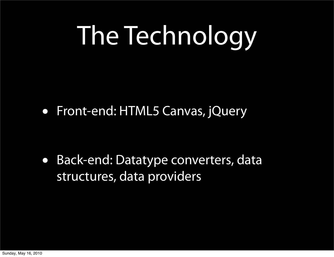## The Technology

• Front-end: HTML5 Canvas, jQuery

• Back-end: Datatype converters, data structures, data providers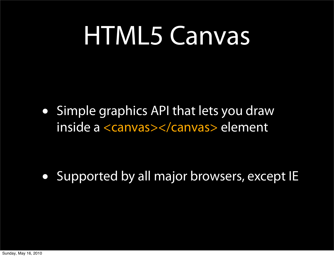### HTML5 Canvas

• Simple graphics API that lets you draw inside a <canvas></canvas> element

• Supported by all major browsers, except IE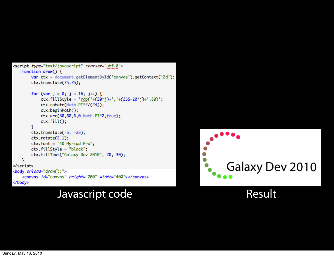```
<script type="text/javascript" charset="utf-8">
   function drawO \{var ctx = document.getElementById('canvas').getContext('2d');
       ctx.translate(75,75);
       for (var j = 0; j < 16; j++) {
           ctx.fillStyle = 'rgb('+(20*j)+','+(255-20*j)+',80)';
           ctx.rotate(Math.PI*2/(24));
           ctx.beginPath();
           ctx.arc(30,60,6,0,Math.PI*2,true);
           ctx.fill();}
       ctx. translate(-5, -25);ctx.rotate(2.1);ctx.font = "40 Myriad Pro";ctx.fillStyle = "black";ctx.fillText("Galaxy Dev 2010", 20, 30);
   Ŧ
</script>
<body onload="draw();">
   <canvas id="canvas" height="200" width="400"></canvas>
</body>
```
### Javascript code Result

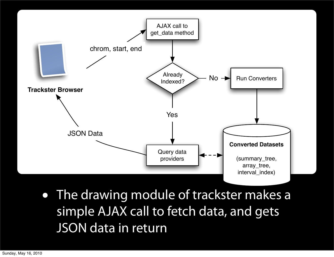

• The drawing module of trackster makes a simple AJAX call to fetch data, and gets JSON data in return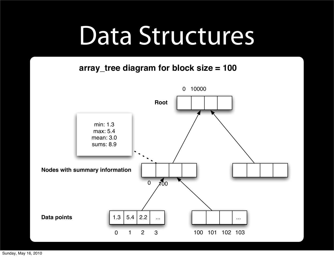### Data Structures

### **array\_tree diagram for block size = 100**

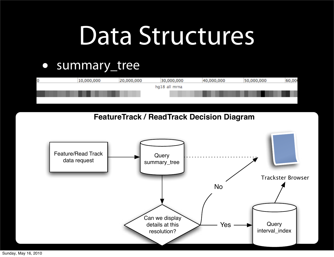### Data Structures

### • summary\_tree



**FeatureTrack / ReadTrack Decision Diagram**



Sunday, May 16, 2010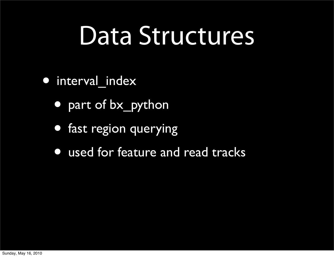### Data Structures

- interval index
	- part of bx\_python
	- fast region querying
	- used for feature and read tracks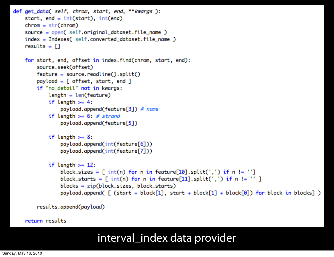```
def get_data( self, chrom, start, end, **kwargs ):
    start, end = int(start), int(end)chrom = str(chrom)source = open( self.original_dataset.file_name )
    index = Indexes( self.converted_dataset.file_name )
    results = \Boxfor start, end, offset in index.find(chrom, start, end):
        source.seek(offset)
        feature = source.readline().split()payload = [offset, start, end]if "no_detail" not in kwargs:
            length = len(feature)if length >= 4:
                payload.append(feature[3]) # name
            if length >= 6: # strand
                payload.append(feature[5])
            if length >= 8:
                payload.append(int(feature[6]))
                payload.append(int(feature[7]))
            if length >= 12:
                block_sizes = \lceil int(n) for n in feature[10].split(',') if n != '']
                block_starts = [ int(n) for n in feature[11].split(',') if n != '' ]
                blocks = zip(block_size, block_starts)payload.append( [ (start + block[1], start + block[1] + block[0]) for block in blocks] )
```
results.append(payload)

### return results

### interval\_index data provider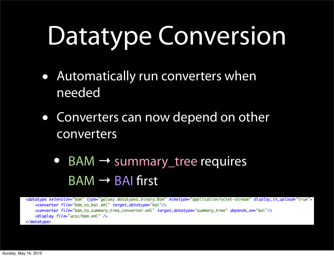# Datatype Conversion

- Automatically run converters when needed
- Converters can now depend on other converters
	- BAM <sup>→</sup> summary\_tree requires  $BAM \rightarrow BAI$  first

<datatype extension="bam" type="galaxy.datatypes.binary:Bam" mimetype="application/octet-stream" display\_in\_upload="true"> <converter file="bam\_to\_bai.xml" target\_datatype="bai"/> <converter file="bam\_to\_summary\_tree\_converter.xml" target\_datatype="summary\_tree" depends\_on="bai"/> <display file="ucsc/bam.xml" /> </datatype>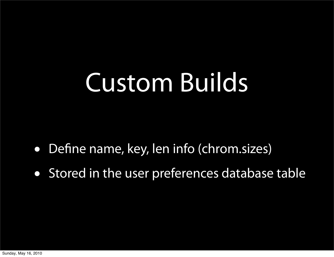## Custom Builds

- Define name, key, len info (chrom.sizes)
- Stored in the user preferences database table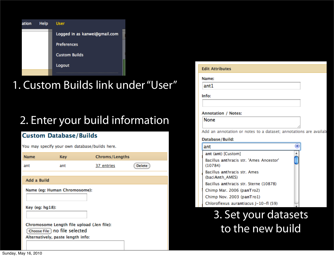

### 1. Custom Builds link under "User"

### 2. Enter your build information

### **Custom Database/Builds**

You may specify your own database/builds here.

| <b>Name</b>     | <b>Key</b>                                                                                                        | Chroms/Lengths |               |
|-----------------|-------------------------------------------------------------------------------------------------------------------|----------------|---------------|
| ant             | ant                                                                                                               | 37 entries     | <b>Delete</b> |
| Add a Build     |                                                                                                                   |                |               |
|                 | Name (eg: Human Chromosome):                                                                                      |                |               |
| Key (eg: hg18): |                                                                                                                   |                |               |
|                 | Chromosome Length file upload (.len file):<br>Choose File ) no file selected<br>Alternatively, paste length info: |                |               |
|                 |                                                                                                                   |                |               |

| <b>Edit Attributes</b> |  |  |  |
|------------------------|--|--|--|
|------------------------|--|--|--|

Name:

ant1

Info:

### **Annotation / Notes:**

None

Add an annotation or notes to a dataset; annotations are availab

### Database/Build:

| ant                                                |  |
|----------------------------------------------------|--|
| ant (ant) [Custom]                                 |  |
| Bacillus anthracis str. 'Ames Ancestor'<br>(10784) |  |
| Bacillus anthracis str. Ames<br>(baciAnth_AMES)    |  |
| Bacillus anthracis str. Sterne (10878)             |  |
| Chimp Mar. 2006 (panTro2)                          |  |
| Chimp Nov. 2003 (panTro1)                          |  |
| Chloroflexus aurantiacus J-10-fl (59)              |  |

### 3. Set your datasets to the new build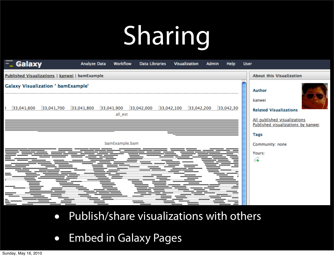# Sharing

| <b>About this Visualization</b><br>Published Visualizations   kanwei   bamExample<br><b>Galaxy Visualization ' bamExample'</b><br><b>Author</b><br>kanwei<br>33,042,000<br>33,042,100 33,042,200<br>33,041,800<br>33,041,900<br>33,042,30<br>33,041,600<br>33,041,700<br><b>Related Visualizations</b><br>all_est<br>All published visualizations<br>Published visualizations by kanwei<br>Tags<br>bamExample.bam<br>Community: none<br>Yours:<br>4 | Galaxy<br>≂ | <b>Analyze Data</b><br><b>Workflow</b> | <b>Data Libraries</b> | <b>Visualization</b><br>Admin | Help<br><b>User</b> |  |
|-----------------------------------------------------------------------------------------------------------------------------------------------------------------------------------------------------------------------------------------------------------------------------------------------------------------------------------------------------------------------------------------------------------------------------------------------------|-------------|----------------------------------------|-----------------------|-------------------------------|---------------------|--|
|                                                                                                                                                                                                                                                                                                                                                                                                                                                     |             |                                        |                       |                               |                     |  |
|                                                                                                                                                                                                                                                                                                                                                                                                                                                     |             |                                        |                       |                               |                     |  |
|                                                                                                                                                                                                                                                                                                                                                                                                                                                     |             |                                        |                       |                               |                     |  |

- Publish/share visualizations with others
- Embed in Galaxy Pages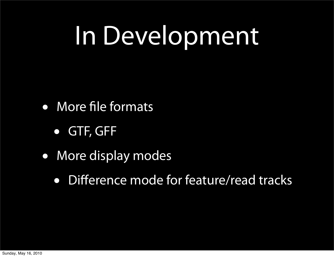## In Development

- More file formats
	- GTF, GFF
- More display modes
	- Difference mode for feature/read tracks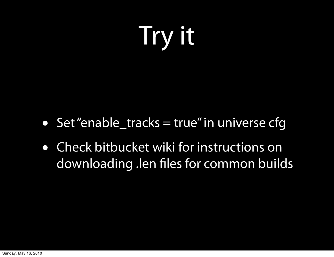## Try it

- Set "enable\_tracks = true" in universe cfg
- Check bitbucket wiki for instructions on downloading .len files for common builds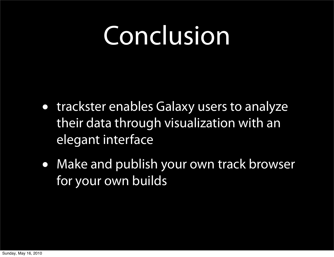### Conclusion

- trackster enables Galaxy users to analyze their data through visualization with an elegant interface
- Make and publish your own track browser for your own builds